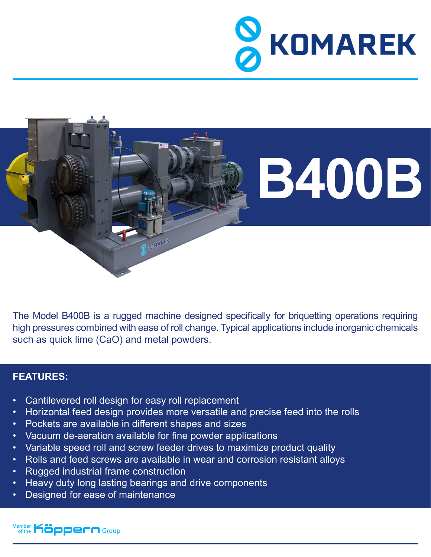



The Model B400B is a rugged machine designed specifically for briquetting operations requiring high pressures combined with ease of roll change. Typical applications include inorganic chemicals such as quick lime (CaO) and metal powders.

## **FEATURES:**

- Cantilevered roll design for easy roll replacement
- Horizontal feed design provides more versatile and precise feed into the rolls
- Pockets are available in different shapes and sizes
- Vacuum de-aeration available for fine powder applications
- Variable speed roll and screw feeder drives to maximize product quality
- Rolls and feed screws are available in wear and corrosion resistant alloys
- Rugged industrial frame construction
- Heavy duty long lasting bearings and drive components
- Designed for ease of maintenance

Member **Köppern** Group